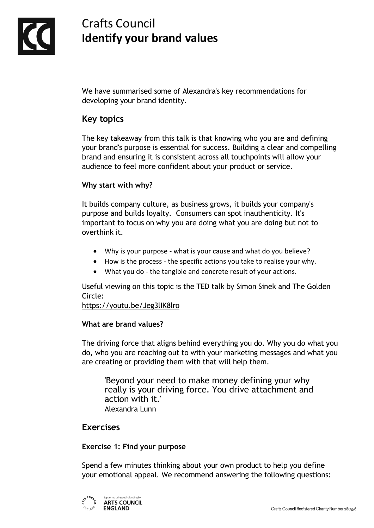

# Crafts Council **Identify your brand values**

We have summarised some of Alexandra's key recommendations for developing your brand identity.

# **Key topics**

The key takeaway from this talk is that knowing who you are and defining your brand's purpose is essential for success. Building a clear and compelling brand and ensuring it is consistent across all touchpoints will allow your audience to feel more confident about your product or service.

## **Why start with why?**

It builds company culture, as business grows, it builds your company's purpose and builds loyalty. Consumers can spot inauthenticity. It's important to focus on why you are doing what you are doing but not to overthink it.

- Why is your purpose what is your cause and what do you believe?
- How is the process the specific actions you take to realise your why.
- What you do the tangible and concrete result of your actions.

Useful viewing on this topic is the TED talk by Simon Sinek and The Golden Circle:

<https://youtu.be/Jeg3lIK8lro>

## **What are brand values?**

The driving force that aligns behind everything you do. Why you do what you do, who you are reaching out to with your marketing messages and what you are creating or providing them with that will help them.

'Beyond your need to make money defining your why really is your driving force. You drive attachment and action with it.' Alexandra Lunn

## **Exercises**

### **Exercise 1: Find your purpose**

Spend a few minutes thinking about your own product to help you define your emotional appeal. We recommend answering the following questions:

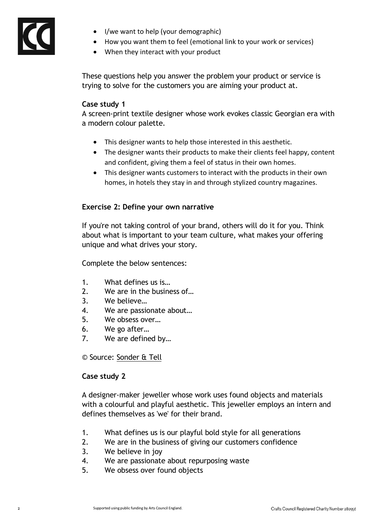

- I/we want to help (your demographic)
- How you want them to feel (emotional link to your work or services)
- When they interact with your product

These questions help you answer the problem your product or service is trying to solve for the customers you are aiming your product at.

#### **Case study 1**

A screen-print textile designer whose work evokes classic Georgian era with a modern colour palette.

- This designer wants to help those interested in this aesthetic.
- The designer wants their products to make their clients feel happy, content and confident, giving them a feel of status in their own homes.
- This designer wants customers to interact with the products in their own homes, in hotels they stay in and through stylized country magazines.

#### **Exercise 2: Define your own narrative**

If you're not taking control of your brand, others will do it for you. Think about what is important to your team culture, what makes your offering unique and what drives your story.

Complete the below sentences:

- 1. What defines us is…
- 2. We are in the business of…
- 3. We believe…
- 4. We are passionate about…
- 5. We obsess over…
- 6. We go after…
- 7. We are defined by…

© Source: [Sonder & Tell](https://sonderandtell.com/)

#### **Case study 2**

A designer-maker jeweller whose work uses found objects and materials with a colourful and playful aesthetic. This jeweller employs an intern and defines themselves as 'we' for their brand.

- 1. What defines us is our playful bold style for all generations
- 2. We are in the business of giving our customers confidence
- 3. We believe in joy
- 4. We are passionate about repurposing waste
- 5. We obsess over found objects